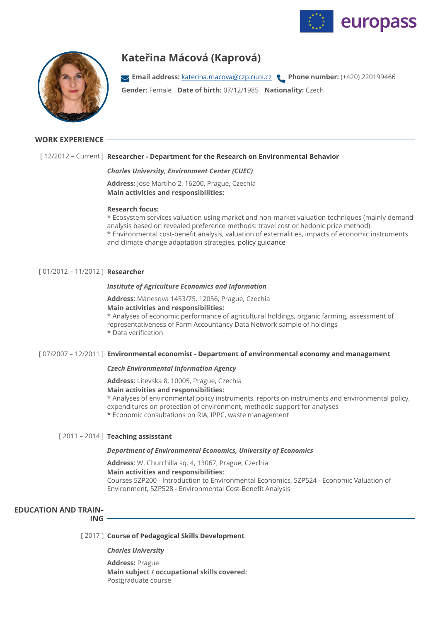



# **Kateřina Mácová (Kaprová)**

**Gender:** Female **Date of birth:** 07/12/1985 **Nationality:** Czech **Email address:** [katerina.macova@czp.cuni.cz](mailto:katerina.macova@czp.cuni.cz) **Phone number:** (+420) 220199466

# **WORK EXPERIENCE**

# [ 12/2012 – Current ] **Researcher - Department for the Research on Environmental Behavior**

### *Charles University, Environment Center (CUEC)*

**Address**: Jose Martiho 2, 16200, Prague, Czechia **Main activities and responsibilities:** 

### **Research focus:**

\* Ecosystem services valuation using market and non-market valuation techniques (mainly demand analysis based on revealed preference methods: travel cost or hedonic price method) \* Environmental cost-benefit analysis, valuation of externalities, impacts of economic instruments and climate change adaptation strategies, policy guidance

# [ 01/2012 – 11/2012 ] **Researcher**

### *Institute of Agriculture Economics and Information*

**Address**: Mánesova 1453/75, 12056, Prague, Czechia **Main activities and responsibilities:**  \* Analyses of economic performance of agricultural holdings, organic farming, assessment of representativeness of Farm Accountancy Data Network sample of holdings \* Data verification

# [ 07/2007 – 12/2011 ] **Environmental economist - Department of environmental economy and management**

### *Czech Environmental Information Agency*

**Address**: Litevska 8, 10005, Prague, Czechia **Main activities and responsibilities:**  \* Analyses of environmental policy instruments, reports on instruments and environmental policy, expenditures on protection of environment, methodic support for analyses \* Economic consultations on RIA, IPPC, waste management

# [ 2011 – 2014 ] **Teaching assisstant**

### *Department of Environmental Economics, University of Economics*

**Address**: W. Churchilla sq. 4, 13067, Prague, Czechia **Main activities and responsibilities:**  Courses 5ZP200 - Introduction to Environmental Economics, 5ZP524 - Economic Valuation of Environment, 5ZP528 - Environmental Cost-Benefit Analysis

# **EDUCATION AND TRAIN‐**

**ING**

# [ 2017 ] **Course of Pedagogical Skills Development**

*Charles University*

**Address:** Prague **Main subject / occupational skills covered:**  Postgraduate course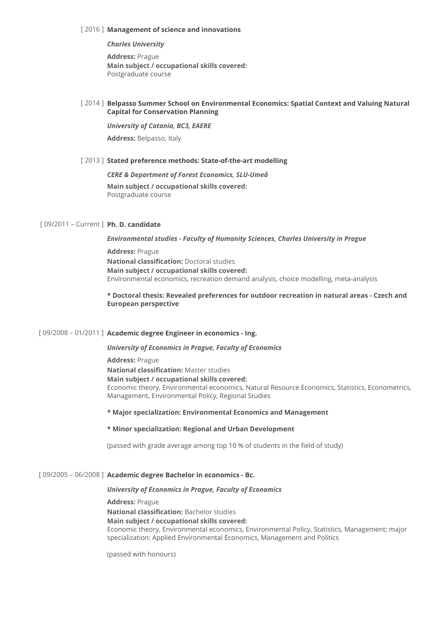### [ 2016 ] **Management of science and innovations**

*Charles University*

**Address:** Prague **Main subject / occupational skills covered:**  Postgraduate course

# [ 2014 ] **Belpasso Summer School on Environmental Economics: Spatial Context and Valuing Natural Capital for Conservation Planning**

### *University of Catania, BC3, EAERE*

**Address:** Belpasso, Italy

### [ 2013 ] **Stated preference methods: State-of-the-art modelling**

*CERE & Department of Forest Economics, SLU-Umeå*

**Main subject / occupational skills covered:**  Postgraduate course

# [ 09/2011 – Current ] **Ph. D. candidate**

# *Environmental studies - Faculty of Humanity Sciences, Charles University in Prague*

**Address:** Prague **National classification:** Doctoral studies **Main subject / occupational skills covered:**  Environmental economics, recreation demand analysis, choice modelling, meta-analysis

# **\* Doctoral thesis: Revealed preferences for outdoor recreation in natural areas - Czech and European perspective**

# [ 09/2008 – 01/2011 ] **Academic degree Engineer in economics - Ing.**

*University of Economics in Prague, Faculty of Economics*

**Address:** Prague

**National classification:** Master studies **Main subject / occupational skills covered:**  Economic theory, Environmental economics, Natural Resource Economics, Statistics, Econometrics, Management, Environmental Policy, Regional Studies

# **\* Major specialization: Environmental Economics and Management**

# **\* Minor specialization: Regional and Urban Development**

(passed with grade average among top 10 % of students in the field of study)

# [ 09/2005 – 06/2008 ] **Academic degree Bachelor in economics - Bc.**

# *University of Economics in Prague, Faculty of Economics*

# **Address:** Prague

**National classification:** Bachelor studies **Main subject / occupational skills covered:** 

# Economic theory, Environmental economics, Environmental Policy, Statistics, Management; major specialization: Applied Environmental Economics, Management and Politics

(passed with honours)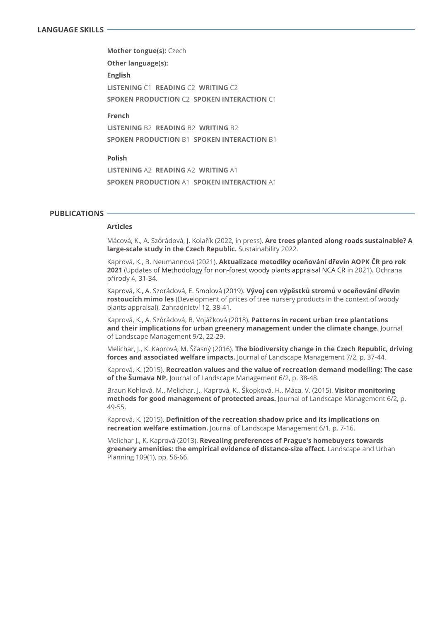**English LISTENING** C1 **READING** C2 **WRITING** C2 **SPOKEN PRODUCTION** C2 **SPOKEN INTERACTION** C1 **Mother tongue(s):** Czech **Other language(s):** 

### **French**

**LISTENING** B2 **READING** B2 **WRITING** B2 **SPOKEN PRODUCTION** B1 **SPOKEN INTERACTION** B1

### **Polish**

**LISTENING** A2 **READING** A2 **WRITING** A1 **SPOKEN PRODUCTION** A1 **SPOKEN INTERACTION** A1

# **PUBLICATIONS**

### **Articles**

Mácová, K., A. Szórádová, J. Kolařík (2022, in press). **Are trees planted along roads sustainable? A large-scale study in the Czech Republic.** Sustainability 2022.

Kaprová, K., B. Neumannová (2021). **Aktualizace metodiky oceňování dřevin AOPK ČR pro rok 2021** (Updates of Methodology for non-forest woody plants appraisal NCA CR in 2021)**.** Ochrana přírody 4, 31-34.

Kaprová, K., A. Szorádová, E. Smolová (2019). **Vývoj cen výpěstků stromů v oceňování dřevin rostoucích mimo les** (Development of prices of tree nursery products in the context of woody plants appraisal). Zahradnictví 12, 38-41.

Kaprová, K., A. Szórádová, B. Vojáčková (2018). **Patterns in recent urban tree plantations and their implications for urban greenery management under the climate change.** Journal of Landscape Management 9/2, 22-29.

Melichar, J., K. Kaprová, M. Ščasný (2016). **The biodiversity change in the Czech Republic, driving forces and associated welfare impacts.** Journal of Landscape Management 7/2, p. 37-44.

Kaprová, K. (2015). **Recreation values and the value of recreation demand modelling: The case of the Šumava NP.** Journal of Landscape Management 6/2, p. 38-48.

Braun Kohlová, M., Melichar, J., Kaprová, K., Škopková, H., Máca, V. (2015). **Visitor monitoring methods for good management of protected areas.** Journal of Landscape Management 6/2, p. 49-55.

Kaprová, K. (2015). **Definition of the recreation shadow price and its implications on recreation welfare estimation.** Journal of Landscape Management 6/1, p. 7-16.

Melichar J., K. Kaprová (2013). **Revealing preferences of Prague's homebuyers towards greenery amenities: the empirical evidence of distance-size effect.** Landscape and Urban Planning 109(1), pp. 56-66.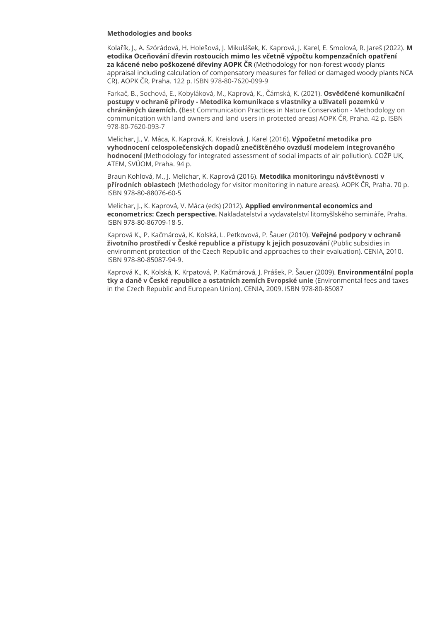### **Methodologies and books**

Kolařík, J., A. Szórádová, H. Holešová, J. Mikulášek, K. Kaprová, J. Karel, E. Smolová, R. Jareš (2022). **M etodika Oceňování dřevin rostoucích mimo les včetně výpočtu kompenzačních opatření za kácené nebo poškozené dřeviny AOPK ČR** (Methodology for non-forest woody plants appraisal including calculation of compensatory measures for felled or damaged woody plants NCA CR). AOPK ČR, Praha. 122 p. ISBN 978-80-7620-099-9

Farkač, B., Sochová, E., Kobyláková, M., Kaprová, K., Čámská, K. (2021). **Osvědčené komunikační postupy v ochraně přírody - Metodika komunikace s vlastníky a uživateli pozemků v chráněných územích. (**Best Communication Practices in Nature Conservation - Methodology on communication with land owners and land users in protected areas) AOPK ČR, Praha. 42 p. ISBN 978-80-7620-093-7

Melichar, J., V. Máca, K. Kaprová, K. Kreislová, J. Karel (2016). **Výpočetní metodika pro vyhodnocení celospolečenských dopadů znečištěného ovzduší modelem integrovaného hodnocení** (Methodology for integrated assessment of social impacts of air pollution). COŽP UK, ATEM, SVÚOM, Praha. 94 p.

Braun Kohlová, M., J. Melichar, K. Kaprová (2016). **Metodika monitoringu návštěvnosti v přírodních oblastech** (Methodology for visitor monitoring in nature areas). AOPK ČR, Praha. 70 p. ISBN 978-80-88076-60-5

Melichar, J., K. Kaprová, V. Máca (eds) (2012). **Applied environmental economics and econometrics: Czech perspective.** Nakladatelství a vydavatelství litomyšlského semináře, Praha. ISBN 978-80-86709-18-5.

Kaprová K., P. Kačmárová, K. Kolská, L. Petkovová, P. Šauer (2010). **Veřejné podpory v ochraně životního prostředí v České republice a přístupy k jejich posuzování** (Public subsidies in environment protection of the Czech Republic and approaches to their evaluation). CENIA, 2010. ISBN 978-80-85087-94-9.

Kaprová K., K. Kolská, K. Krpatová, P. Kačmárová, J. Prášek, P. Šauer (2009). **Environmentální popla tky a daně v České republice a ostatních zemích Evropské unie** (Environmental fees and taxes in the Czech Republic and European Union). CENIA, 2009. ISBN 978-80-85087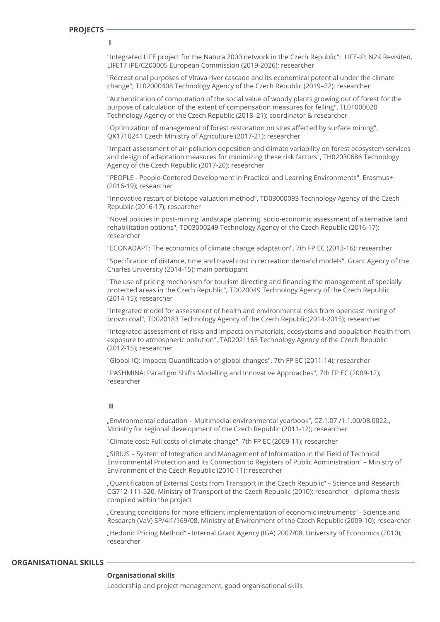**I**

"Integrated LIFE project for the Natura 2000 network in the Czech Republic"; LIFE-IP: N2K Revisited, LIFE17 IPE/CZ00005 European Commission (2019-2026); researcher

"Recreational purposes of Vltava river cascade and its economical potential under the climate change"; TL02000408 Technology Agency of the Czech Republic (2019–22); researcher

"Authentication of computation of the social value of woody plants growing out of forest for the purpose of calculation of the extent of compensation measures for felling", TL01000020 Technology Agency of the Czech Republic (2018–21); coordinator & researcher

"Optimization of management of forest restoration on sites affected by surface mining", QK1710241 Czech Ministry of Agriculture (2017-21); researcher

"Impact assessment of air pollution deposition and climate variability on forest ecosystem services and design of adaptation measures for minimizing these risk factors", TH02030686 Technology Agency of the Czech Republic (2017-20); researcher

"PEOPLE - People-Centered Development in Practical and Learning Environments", Erasmus+ (2016-19); researcher

"Innovative restart of biotope valuation method", TD03000093 Technology Agency of the Czech Republic (2016-17); researcher

"Novel policies in post-mining landscape planning: socio-economic assessment of alternative land rehabilitation options", TD03000249 Technology Agency of the Czech Republic (2016-17); researcher

"ECONADAPT: The economics of climate change adaptation", 7th FP EC (2013-16); researcher

"Specification of distance, time and travel cost in recreation demand models", Grant Agency of the Charles University (2014-15); main participant

"The use of pricing mechanism for tourism directing and financing the management of specially protected areas in the Czech Republic", TD020049 Technology Agency of the Czech Republic (2014-15); researcher

"Integrated model for assessment of health and environmental risks from opencast mining of brown coal", TD020183 Technology Agency of the Czech Republic(2014-2015); researcher

"Integrated assessment of risks and impacts on materials, ecosystems and population health from exposure to atmospheric pollution", TA02021165 Technology Agency of the Czech Republic (2012-15); researcher

"Global-IQ: Impacts Quantification of global changes", 7th FP EC (2011-14); researcher

"PASHMINA: Paradigm Shifts Modelling and Innovative Approaches", 7th FP EC (2009-12); researcher

### **II**

"Environmental education – Multimedial environmental yearbook", CZ.1.07./1.1.00/08.0022., Ministry for regional development of the Czech Republic (2011-12); researcher

"Climate cost: Full costs of climate change", 7th FP EC (2009-11); researcher

"SIRIUS – System of Integration and Management of Information in the Field of Technical Environmental Protection and its Connection to Registers of Public Administration" – Ministry of Environment of the Czech Republic (2010-11); researcher

"Quantification of External Costs from Transport in the Czech Republic" – Science and Research CG712-111-520, Ministry of Transport of the Czech Republic (2010); researcher - diploma thesis compiled within the project

"Creating conditions for more efficient implementation of economic instruments" - Science and Research (VaV) SP/4i1/169/08, Ministry of Environment of the Czech Republic (2009-10); researcher

"Hedonic Pricing Method" - Internal Grant Agency (IGA) 2007/08, University of Economics (2010); researcher

# **ORGANISATIONAL SKILLS**

### **Organisational skills**

Leadership and project management, good organisational skills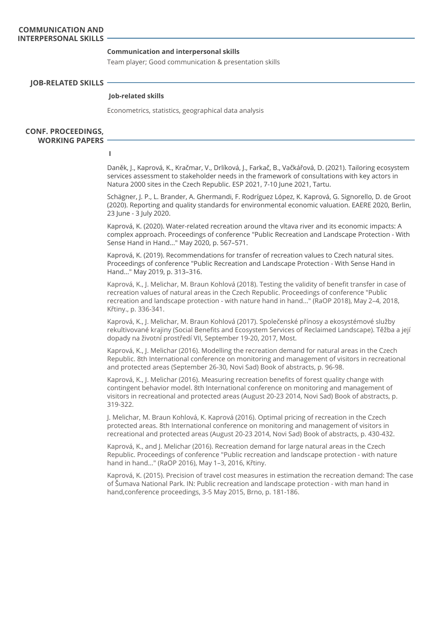### **Communication and interpersonal skills**

Team player; Good communication & presentation skills

**JOB-RELATED SKILLS** 

### **Job-related skills**

Econometrics, statistics, geographical data analysis

**CONF. PROCEEDINGS, WORKING PAPERS** 

**I**

Daněk, J., Kaprová, K., Kračmar, V., Drlíková, J., Farkač, B., Vačkářová, D. (2021). Tailoring ecosystem services assessment to stakeholder needs in the framework of consultations with key actors in Natura 2000 sites in the Czech Republic. ESP 2021, 7-10 June 2021, Tartu.

Schägner, J. P., L. Brander, A. Ghermandi, F. Rodríguez López, K. Kaprová, G. Signorello, D. de Groot (2020). Reporting and quality standards for environmental economic valuation. EAERE 2020, Berlin, 23 June - 3 July 2020.

Kaprová, K. (2020). Water-related recreation around the vltava river and its economic impacts: A complex approach. Proceedings of conference "Public Recreation and Landscape Protection - With Sense Hand in Hand..." May 2020, p. 567–571.

Kaprová, K. (2019). Recommendations for transfer of recreation values to Czech natural sites. Proceedings of conference "Public Recreation and Landscape Protection - With Sense Hand in Hand..." May 2019, p. 313–316.

Kaprová, K., J. Melichar, M. Braun Kohlová (2018). Testing the validity of benefit transfer in case of recreation values of natural areas in the Czech Republic. Proceedings of conference "Public recreation and landscape protection - with nature hand in hand..." (RaOP 2018), May 2–4, 2018, Křtiny., p. 336-341.

Kaprová, K., J. Melichar, M. Braun Kohlová (2017). Společenské přínosy a ekosystémové služby rekultivované krajiny (Social Benefits and Ecosystem Services of Reclaimed Landscape). Těžba a její dopady na životní prostředí VII, September 19-20, 2017, Most.

Kaprová, K., J. Melichar (2016). Modelling the recreation demand for natural areas in the Czech Republic. 8th International conference on monitoring and management of visitors in recreational and protected areas (September 26-30, Novi Sad) Book of abstracts, p. 96-98.

Kaprová, K., J. Melichar (2016). Measuring recreation benefits of forest quality change with contingent behavior model. 8th International conference on monitoring and management of visitors in recreational and protected areas (August 20-23 2014, Novi Sad) Book of abstracts, p. 319-322.

J. Melichar, M. Braun Kohlová, K. Kaprová (2016). Optimal pricing of recreation in the Czech protected areas. 8th International conference on monitoring and management of visitors in recreational and protected areas (August 20-23 2014, Novi Sad) Book of abstracts, p. 430-432.

Kaprová, K., and J. Melichar (2016). Recreation demand for large natural areas in the Czech Republic. Proceedings of conference "Public recreation and landscape protection - with nature hand in hand..." (RaOP 2016), May 1–3, 2016, Křtiny.

Kaprová, K. (2015). Precision of travel cost measures in estimation the recreation demand: The case of Šumava National Park. IN: Public recreation and landscape protection - with man hand in hand,conference proceedings, 3-5 May 2015, Brno, p. 181-186.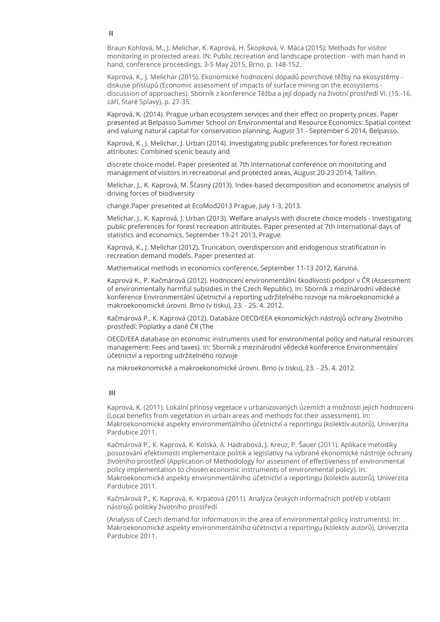Braun Kohlová, M., J. Melichar, K. Kaprová, H. Škopková, V. Máca (2015): Methods for visitor monitoring in protected areas. IN: Public recreation and landscape protection - with man hand in hand, conference proceedings, 3-5 May 2015, Brno, p. 148-152.

Kaprová, K., J. Melichar (2015). Ekonomické hodnocení dopadů povrchové těžby na ekosystémy diskuse přístupů (Economic assessment of impacts of surface mining on the ecosystems discussion of approaches). Sborník z konference Těžba a její dopady na životní prostředí VI. (15.-16. září, Staré Splavy), p. 27-35.

Kaprová, K. (2014). Prague urban ecosystem services and their effect on property prices. Paper presented at Belpasso Summer School on Environmental and Resource Economics: Spatial context and valuing natural capital for conservation planning, August 31 - September 6 2014, Belpasso.

Kaprová, K., J. Melichar, J. Urban (2014). Investigating public preferences for forest recreation attributes: Combined scenic beauty and

discrete choice model. Paper presented at 7th International conference on monitoring and management of visitors in recreational and protected areas, August 20-23 2014, Tallinn.

Melichar, J., K. Kaprová, M. Ščasný (2013). Index-based decomposition and econometric analysis of driving forces of biodiversity

change.Paper presented at EcoMod2013 Prague, July 1-3, 2013.

Melichar, J., K. Kaprová, J. Urban (2013). Welfare analysis with discrete choice models - Investigating public preferences for forest recreation attributes. Paper presented at 7th International days of statistics and economics, September 19-21 2013, Prague.

Kaprová, K., J. Melichar (2012). Truncation, overdispersion and endogenous stratification in recreation demand models. Paper presented at

Mathematical methods in economics conference, September 11-13 2012, Karviná.

Kaprová K., P. Kačmárová (2012). Hodnocení environmentální škodlivosti podpor v ČR (Assessment of environmentally harmful subsidies in the Czech Republic). In: Sborník z mezinárodní vědecké konference Environmentální účetnictví a reporting udržitelného rozvoje na mikroekonomické a makroekonomické úrovni. Brno (v tisku), 23. - 25. 4. 2012.

Kačmárová P., K. Kaprová (2012). Databáze OECD/EEA ekonomických nástrojů ochrany životního prostředí: Poplatky a daně ČR (The

OECD/EEA database on economic instruments used for environmental policy and natural resources management: Fees and taxes). In: Sborník z mezinárodní vědecké konference Environmentální účetnictví a reporting udržitelného rozvoje

na mikroekonomické a makroekonomické úrovni. Brno (v tisku), 23. - 25. 4. 2012.

### **III**

Kaprová, K. (2011). Lokální přínosy vegetace v urbanizovaných územích a možnosti jejich hodnocení (Local benefits from vegetation in urban areas and methods for their assessment). In: Makroekonomické aspekty environmentálního účetnictví a reportingu (kolektiv autorů), Univerzita Pardubice 2011.

Kačmárová P., K. Kaprová, K. Kolská, A. Hadrabová, J. Kreuz, P. Šauer (2011). Aplikace metodiky posuzování efektivnosti implementace politik a legislativy na vybrané ekonomické nástroje ochrany životního prostředí (Application of Methodology for assesment of effectiveness of environmental policy implementation to chosen economic instruments of environmental policy). In: Makroekonomické aspekty environmentálního účetnictví a reportingu (kolektiv autorů), Univerzita Pardubice 2011.

Kačmárová P., K. Kaprová, K. Krpatová (2011). Analýza českých informačních potřeb v oblasti nástrojů politiky životního prostředí

(Analysis of Czech demand for information in the area of environmental policy instruments). In: Makroekonomické aspekty environmentálního účetnictví a reportingu (kolektiv autorů), Univerzita Pardubice 2011.

### **II**